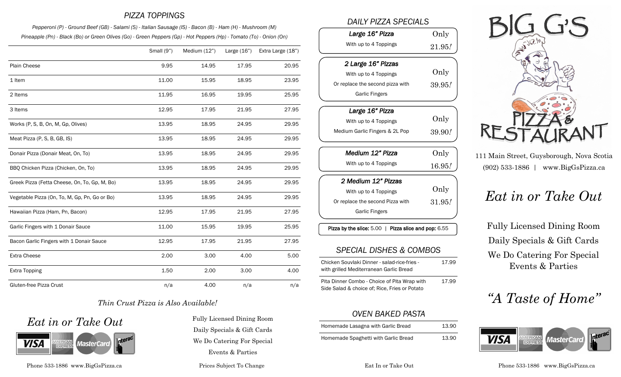#### *PIZZA TOPPINGS*

*Pepperoni (P) - Ground Beef (GB) - Salami (S) - Italian Sausage (IS) - Bacon (B) - Ham (H) - Mushroom (M) Pineapple (Pn) - Black (Bo) or Green Olives (Go) - Green Peppers (Gp) - Hot Peppers (Hp) - Tomato (To) - Onion (On)*

|                                               | Small (9") | Medium (12") | Large $(16")$ | Extra Large (18") |
|-----------------------------------------------|------------|--------------|---------------|-------------------|
| Plain Cheese                                  | 9.95       | 14.95        | 17.95         | 20.95             |
| 1 Item                                        | 11.00      | 15.95        | 18.95         | 23.95             |
| 2 Items                                       | 11.95      | 16.95        | 19.95         | 25.95             |
| 3 Items                                       | 12.95      | 17.95        | 21.95         | 27.95             |
| Works (P, S, B, On, M, Gp, Olives)            | 13.95      | 18.95        | 24.95         | 29.95             |
| Meat Pizza (P, S, B, GB, IS)                  | 13.95      | 18.95        | 24.95         | 29.95             |
| Donair Pizza (Donair Meat, On, To)            | 13.95      | 18.95        | 24.95         | 29.95             |
| BBQ Chicken Pizza (Chicken, On, To)           | 13.95      | 18.95        | 24.95         | 29.95             |
| Greek Pizza (Fetta Cheese, On, To, Gp, M, Bo) | 13.95      | 18.95        | 24.95         | 29.95             |
| Vegetable Pizza (On, To, M, Gp, Pn, Go or Bo) | 13.95      | 18.95        | 24.95         | 29.95             |
| Hawaiian Pizza (Ham, Pn, Bacon)               | 12.95      | 17.95        | 21.95         | 27.95             |
| Garlic Fingers with 1 Donair Sauce            | 11.00      | 15.95        | 19.95         | 25.95             |
| Bacon Garlic Fingers with 1 Donair Sauce      | 12.95      | 17.95        | 21.95         | 27.95             |
| Extra Cheese                                  | 2.00       | 3.00         | 4.00          | 5.00              |
| <b>Extra Topping</b>                          | 1.50       | 2.00         | 3.00          | 4.00              |
| Gluten-free Pizza Crust                       | n/a        | 4.00         | n/a           | n/a               |

#### *Thin Crust Pizza is Also Available!*





Phone 533-1886 www.BigGsPizza.ca Prices Subject To Change Eat In or Take Out Phone 533-1886 www.BigGsPizza.ca

Daily Specials & Gift Cards We Do Catering For Special Events & Parties

#### *DAILY PIZZA SPECIALS*

| Large 16" Pizza                  | Only   |
|----------------------------------|--------|
| With up to 4 Toppings            | 21.95/ |
|                                  |        |
| 2 Large 16" Pizzas               |        |
| With up to 4 Toppings            | Only   |
| Or replace the second pizza with | 39.95! |
| <b>Garlic Fingers</b>            |        |
|                                  |        |

| Large 16" Pizza                |        |
|--------------------------------|--------|
| With up to 4 Toppings          | Only   |
| Medium Garlic Fingers & 2L Pop | 39.90! |

| Medium 12" Pizza                 | Only   |
|----------------------------------|--------|
| With up to 4 Toppings            | 16.95! |
| 2 Medium 12" Pizzas              |        |
|                                  | Only   |
| With up to 4 Toppings            |        |
| Or replace the second Pizza with | 31.95/ |
| <b>Garlic Fingers</b>            |        |

Pizza by the slice: 5.00 | Pizza slice and pop: 6.55

#### *SPECIAL DISHES & COMBOS*

| Chicken Souvlaki Dinner - salad-rice-fries - | 17.99 |
|----------------------------------------------|-------|
| with grilled Mediterranean Garlic Bread      |       |

Pita Dinner Combo - Choice of Pita Wrap with Side Salad & choice of; Rice, Fries or Potato 17.99

# *OVEN BAKED PASTA*

| Homemade Lasagna with Garlic Bread   | 13.90 |
|--------------------------------------|-------|
| Homemade Spaghetti with Garlic Bread | 13.90 |



111 Main Street, Guysborough, Nova Scotia (902) 533-1886 | www.BigGsPizza.ca

# *Eat in or Take Out*

Fully Licensed Dining Room Daily Specials & Gift Cards We Do Catering For Special Events & Parties

# *"A Taste of Home"*